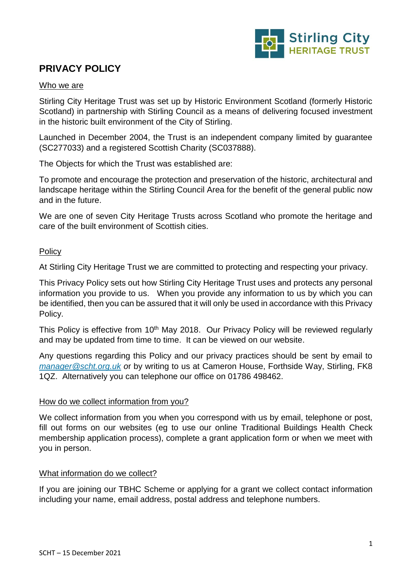

# **PRIVACY POLICY**

## Who we are

Stirling City Heritage Trust was set up by Historic Environment Scotland (formerly Historic Scotland) in partnership with Stirling Council as a means of delivering focused investment in the historic built environment of the City of Stirling.

Launched in December 2004, the Trust is an independent company limited by guarantee (SC277033) and a registered Scottish Charity (SC037888).

The Objects for which the Trust was established are:

To promote and encourage the protection and preservation of the historic, architectural and landscape heritage within the Stirling Council Area for the benefit of the general public now and in the future.

We are one of seven City Heritage Trusts across Scotland who promote the heritage and care of the built environment of Scottish cities.

# Policy

At Stirling City Heritage Trust we are committed to protecting and respecting your privacy.

This Privacy Policy sets out how Stirling City Heritage Trust uses and protects any personal information you provide to us. When you provide any information to us by which you can be identified, then you can be assured that it will only be used in accordance with this Privacy Policy.

This Policy is effective from 10<sup>th</sup> May 2018. Our Privacy Policy will be reviewed regularly and may be updated from time to time. It can be viewed on our website.

Any questions regarding this Policy and our privacy practices should be sent by email to *[manager@scht.org.uk](mailto:manager@scht.org.uk) o*r by writing to us at Cameron House, Forthside Way, Stirling, FK8 1QZ. Alternatively you can telephone our office on 01786 498462.

# How do we collect information from you?

We collect information from you when you correspond with us by email, telephone or post, fill out forms on our websites (eg to use our online Traditional Buildings Health Check membership application process), complete a grant application form or when we meet with you in person.

# What information do we collect?

If you are joining our TBHC Scheme or applying for a grant we collect contact information including your name, email address, postal address and telephone numbers.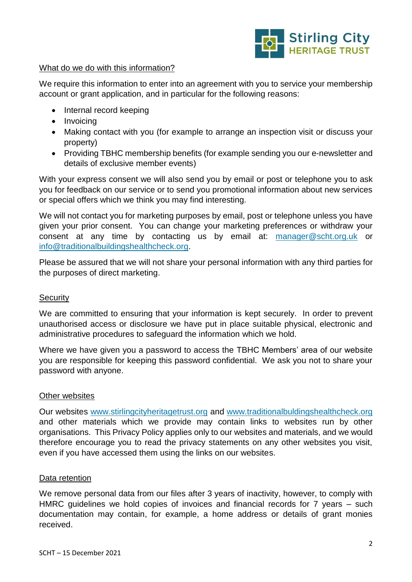

## What do we do with this information?

We require this information to enter into an agreement with you to service your membership account or grant application, and in particular for the following reasons:

- Internal record keeping
- Invoicing
- Making contact with you (for example to arrange an inspection visit or discuss your property)
- Providing TBHC membership benefits (for example sending you our e-newsletter and details of exclusive member events)

With your express consent we will also send you by email or post or telephone you to ask you for feedback on our service or to send you promotional information about new services or special offers which we think you may find interesting.

We will not contact you for marketing purposes by email, post or telephone unless you have given your prior consent. You can change your marketing preferences or withdraw your consent at any time by contacting us by email at: [manager@scht.org.uk](mailto:manager@scht.org.uk) or [info@traditionalbuildingshealthcheck.org.](mailto:info@traditionalbuildingshealthcheck.org)

Please be assured that we will not share your personal information with any third parties for the purposes of direct marketing.

#### **Security**

We are committed to ensuring that your information is kept securely. In order to prevent unauthorised access or disclosure we have put in place suitable physical, electronic and administrative procedures to safeguard the information which we hold.

Where we have given you a password to access the TBHC Members' area of our website you are responsible for keeping this password confidential. We ask you not to share your password with anyone.

#### Other websites

Our websites [www.stirlingcityheritagetrust.org](http://www.stirlingcityheritagetrust.org/) and [www.traditionalbuldingshealthcheck.org](http://www.traditionalbuldingshealthcheck.org/)  and other materials which we provide may contain links to websites run by other organisations. This Privacy Policy applies only to our websites and materials, and we would therefore encourage you to read the privacy statements on any other websites you visit, even if you have accessed them using the links on our websites.

#### Data retention

We remove personal data from our files after 3 years of inactivity, however, to comply with HMRC guidelines we hold copies of invoices and financial records for 7 years – such documentation may contain, for example, a home address or details of grant monies received.